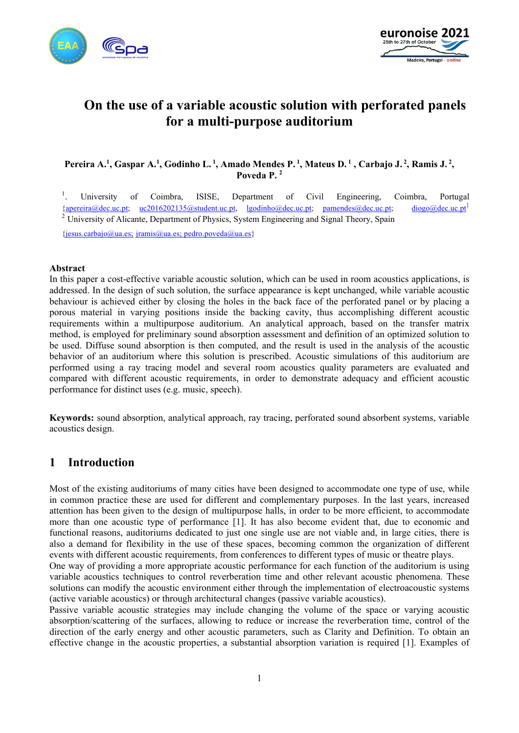



# **On the use of a variable acoustic solution with perforated panels for a multi-purpose auditorium**

Pereira A.<sup>1</sup>, Gaspar A.<sup>1</sup>, Godinho L.<sup>1</sup>, Amado Mendes P.<sup>1</sup>, Mateus D.<sup>1</sup>, Carbajo J.<sup>2</sup>, Ramis J.<sup>2</sup>, **Poveda P. 2**

1 . University of Coimbra, ISISE, Department of Civil Engineering, Coimbra, Portugal {apereira@dec.uc.pt; uc2016202135@student.uc.pt, lgodinho@dec.uc.pt; pamendes@dec.uc.pt; diogo@dec.uc.pt} <sup>2</sup> University of Alicante, Department of Physics, System Engineering and Signal Theory, Spain

{jesus.carbajo@ua.es; jramis@ua.es; pedro.poveda@ua.es}

#### **Abstract**

In this paper a cost-effective variable acoustic solution, which can be used in room acoustics applications, is addressed. In the design of such solution, the surface appearance is kept unchanged, while variable acoustic behaviour is achieved either by closing the holes in the back face of the perforated panel or by placing a porous material in varying positions inside the backing cavity, thus accomplishing different acoustic requirements within a multipurpose auditorium. An analytical approach, based on the transfer matrix method, is employed for preliminary sound absorption assessment and definition of an optimized solution to be used. Diffuse sound absorption is then computed, and the result is used in the analysis of the acoustic behavior of an auditorium where this solution is prescribed. Acoustic simulations of this auditorium are performed using a ray tracing model and several room acoustics quality parameters are evaluated and compared with different acoustic requirements, in order to demonstrate adequacy and efficient acoustic performance for distinct uses (e.g. music, speech).

**Keywords:** sound absorption, analytical approach, ray tracing, perforated sound absorbent systems, variable acoustics design.

### **1 Introduction**

Most of the existing auditoriums of many cities have been designed to accommodate one type of use, while in common practice these are used for different and complementary purposes. In the last years, increased attention has been given to the design of multipurpose halls, in order to be more efficient, to accommodate more than one acoustic type of performance [1]. It has also become evident that, due to economic and functional reasons, auditoriums dedicated to just one single use are not viable and, in large cities, there is also a demand for flexibility in the use of these spaces, becoming common the organization of different events with different acoustic requirements, from conferences to different types of music or theatre plays.

One way of providing a more appropriate acoustic performance for each function of the auditorium is using variable acoustics techniques to control reverberation time and other relevant acoustic phenomena. These solutions can modify the acoustic environment either through the implementation of electroacoustic systems (active variable acoustics) or through architectural changes (passive variable acoustics).

Passive variable acoustic strategies may include changing the volume of the space or varying acoustic absorption/scattering of the surfaces, allowing to reduce or increase the reverberation time, control of the direction of the early energy and other acoustic parameters, such as Clarity and Definition. To obtain an effective change in the acoustic properties, a substantial absorption variation is required [1]. Examples of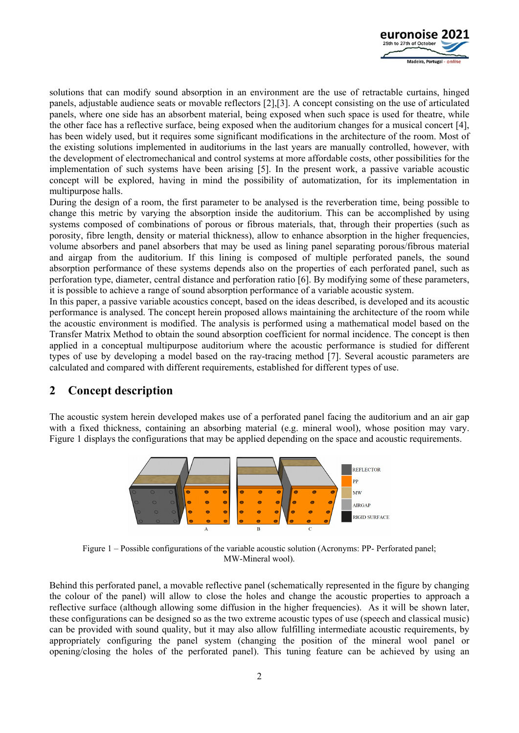

solutions that can modify sound absorption in an environment are the use of retractable curtains, hinged panels, adjustable audience seats or movable reflectors [2],[3]. A concept consisting on the use of articulated panels, where one side has an absorbent material, being exposed when such space is used for theatre, while the other face has a reflective surface, being exposed when the auditorium changes for a musical concert [4], has been widely used, but it requires some significant modifications in the architecture of the room. Most of the existing solutions implemented in auditoriums in the last years are manually controlled, however, with the development of electromechanical and control systems at more affordable costs, other possibilities for the implementation of such systems have been arising [5]. In the present work, a passive variable acoustic concept will be explored, having in mind the possibility of automatization, for its implementation in multipurpose halls.

During the design of a room, the first parameter to be analysed is the reverberation time, being possible to change this metric by varying the absorption inside the auditorium. This can be accomplished by using systems composed of combinations of porous or fibrous materials, that, through their properties (such as porosity, fibre length, density or material thickness), allow to enhance absorption in the higher frequencies, volume absorbers and panel absorbers that may be used as lining panel separating porous/fibrous material and airgap from the auditorium. If this lining is composed of multiple perforated panels, the sound absorption performance of these systems depends also on the properties of each perforated panel, such as perforation type, diameter, central distance and perforation ratio [6]. By modifying some of these parameters, it is possible to achieve a range of sound absorption performance of a variable acoustic system.

In this paper, a passive variable acoustics concept, based on the ideas described, is developed and its acoustic performance is analysed. The concept herein proposed allows maintaining the architecture of the room while the acoustic environment is modified. The analysis is performed using a mathematical model based on the Transfer Matrix Method to obtain the sound absorption coefficient for normal incidence. The concept is then applied in a conceptual multipurpose auditorium where the acoustic performance is studied for different types of use by developing a model based on the ray-tracing method [7]. Several acoustic parameters are calculated and compared with different requirements, established for different types of use.

# **2 Concept description**

The acoustic system herein developed makes use of a perforated panel facing the auditorium and an air gap with a fixed thickness, containing an absorbing material (e.g. mineral wool), whose position may vary. Figure 1 displays the configurations that may be applied depending on the space and acoustic requirements.



Figure 1 – Possible configurations of the variable acoustic solution (Acronyms: PP- Perforated panel; MW-Mineral wool).

Behind this perforated panel, a movable reflective panel (schematically represented in the figure by changing the colour of the panel) will allow to close the holes and change the acoustic properties to approach a reflective surface (although allowing some diffusion in the higher frequencies). As it will be shown later, these configurations can be designed so as the two extreme acoustic types of use (speech and classical music) can be provided with sound quality, but it may also allow fulfilling intermediate acoustic requirements, by appropriately configuring the panel system (changing the position of the mineral wool panel or opening/closing the holes of the perforated panel). This tuning feature can be achieved by using an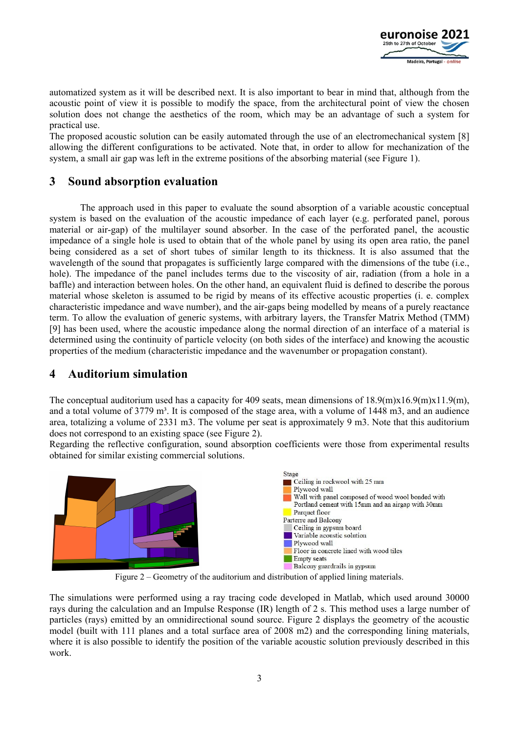

automatized system as it will be described next. It is also important to bear in mind that, although from the acoustic point of view it is possible to modify the space, from the architectural point of view the chosen solution does not change the aesthetics of the room, which may be an advantage of such a system for practical use.

The proposed acoustic solution can be easily automated through the use of an electromechanical system [8] allowing the different configurations to be activated. Note that, in order to allow for mechanization of the system, a small air gap was left in the extreme positions of the absorbing material (see Figure 1).

# **3 Sound absorption evaluation**

The approach used in this paper to evaluate the sound absorption of a variable acoustic conceptual system is based on the evaluation of the acoustic impedance of each layer (e.g. perforated panel, porous material or air-gap) of the multilayer sound absorber. In the case of the perforated panel, the acoustic impedance of a single hole is used to obtain that of the whole panel by using its open area ratio, the panel being considered as a set of short tubes of similar length to its thickness. It is also assumed that the wavelength of the sound that propagates is sufficiently large compared with the dimensions of the tube (i.e., hole). The impedance of the panel includes terms due to the viscosity of air, radiation (from a hole in a baffle) and interaction between holes. On the other hand, an equivalent fluid is defined to describe the porous material whose skeleton is assumed to be rigid by means of its effective acoustic properties (i. e. complex characteristic impedance and wave number), and the air-gaps being modelled by means of a purely reactance term. To allow the evaluation of generic systems, with arbitrary layers, the Transfer Matrix Method (TMM) [9] has been used, where the acoustic impedance along the normal direction of an interface of a material is determined using the continuity of particle velocity (on both sides of the interface) and knowing the acoustic properties of the medium (characteristic impedance and the wavenumber or propagation constant).

# **4 Auditorium simulation**

The conceptual auditorium used has a capacity for 409 seats, mean dimensions of  $18.9(m)x16.9(m)x11.9(m)$ , and a total volume of  $3779 \text{ m}^3$ . It is composed of the stage area, with a volume of  $1448 \text{ m}^3$ , and an audience area, totalizing a volume of 2331 m3. The volume per seat is approximately 9 m3. Note that this auditorium does not correspond to an existing space (see Figure 2).

Regarding the reflective configuration, sound absorption coefficients were those from experimental results obtained for similar existing commercial solutions.



Figure 2 – Geometry of the auditorium and distribution of applied lining materials.

The simulations were performed using a ray tracing code developed in Matlab, which used around 30000 rays during the calculation and an Impulse Response (IR) length of 2 s. This method uses a large number of particles (rays) emitted by an omnidirectional sound source. Figure 2 displays the geometry of the acoustic model (built with 111 planes and a total surface area of 2008 m2) and the corresponding lining materials, where it is also possible to identify the position of the variable acoustic solution previously described in this work.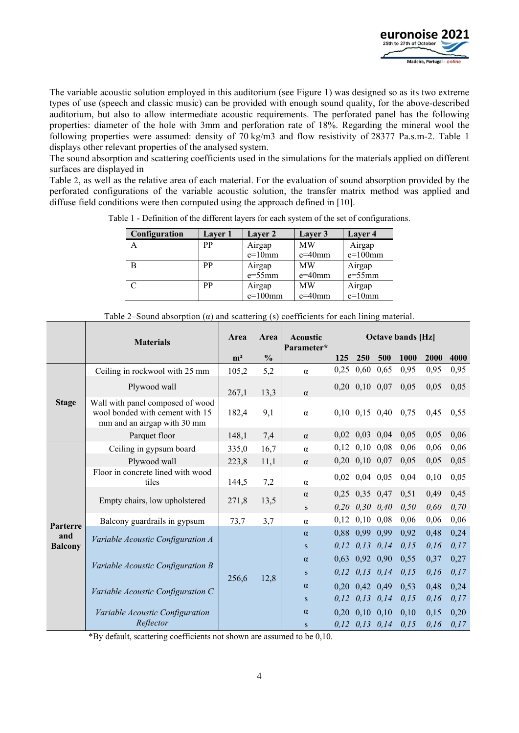

The variable acoustic solution employed in this auditorium (see Figure 1) was designed so as its two extreme types of use (speech and classic music) can be provided with enough sound quality, for the above-described auditorium, but also to allow intermediate acoustic requirements. The perforated panel has the following properties: diameter of the hole with 3mm and perforation rate of 18%. Regarding the mineral wool the following properties were assumed: density of 70 kg/m3 and flow resistivity of 28377 Pa.s.m-2. Table 1 displays other relevant properties of the analysed system.

The sound absorption and scattering coefficients used in the simulations for the materials applied on different surfaces are displayed in

Table 2, as well as the relative area of each material. For the evaluation of sound absorption provided by the perforated configurations of the variable acoustic solution, the transfer matrix method was applied and diffuse field conditions were then computed using the approach defined in [10].

| Configuration | Layer 1 | Layer 2    | Layer 3   | Layer 4    |
|---------------|---------|------------|-----------|------------|
|               | PP      | Airgap     | <b>MW</b> | Airgap     |
|               |         | $e=10$ mm  | $e=40$ mm | $e=100$ mm |
|               | PP      | Airgap     | <b>MW</b> | Airgap     |
|               |         | $e=55$ mm  | $e=40$ mm | $e=55$ mm  |
|               | PP      | Airgap     | <b>MW</b> | Airgap     |
|               |         | $e=100$ mm | $e=40$ mm | $e=10$ mm  |

Table 1 - Definition of the different layers for each system of the set of configurations.

|                | <b>Materials</b>                                                                                   | Area           | Area          | <b>Acoustic</b><br>Parameter* |              | <b>Octave bands [Hz]</b> |                      |              |              |              |
|----------------|----------------------------------------------------------------------------------------------------|----------------|---------------|-------------------------------|--------------|--------------------------|----------------------|--------------|--------------|--------------|
|                |                                                                                                    | m <sup>2</sup> | $\frac{0}{0}$ |                               | 125          | <b>250</b>               | 500                  | 1000         | 2000         | 4000         |
|                | Ceiling in rockwool with 25 mm                                                                     | 105,2          | 5,2           | $\alpha$                      | 0,25         | 0,60                     | 0,65                 | 0,95         | 0,95         | 0,95         |
|                | Plywood wall                                                                                       | 267,1          | 13,3          | $\alpha$                      |              |                          | $0,20$ $0,10$ $0,07$ | 0,05         | 0,05         | 0,05         |
| <b>Stage</b>   | Wall with panel composed of wood<br>wool bonded with cement with 15<br>mm and an airgap with 30 mm | 182,4          | 9,1           | $\alpha$                      |              |                          | $0,10$ $0,15$ $0,40$ | 0,75         | 0,45         | 0,55         |
|                | Parquet floor                                                                                      | 148,1          | 7,4           | $\alpha$                      |              | $0,02$ $0,03$ $0,04$     |                      | 0,05         | 0,05         | 0,06         |
|                | Ceiling in gypsum board                                                                            | 335,0          | 16,7          | $\alpha$                      | 0,12         | $0,10$ 0.08              |                      | 0,06         | 0,06         | 0,06         |
|                | Plywood wall                                                                                       | 223,8          | 11,1          | $\alpha$                      | 0,20         | $0,10$ 0,07              |                      | 0,05         | 0,05         | 0,05         |
| Parterre       | Floor in concrete lined with wood<br>tiles                                                         | 144,5          | 7,2           | $\alpha$                      | 0,02         | $0,04$ 0.05              |                      | 0,04         | 0,10         | 0,05         |
|                | Empty chairs, low upholstered                                                                      | 271,8          | 13,5          | $\alpha$<br>S                 | 0.25<br>0,20 | $0,35$ 0.47              | $0,30 \quad 0,40$    | 0,51<br>0,50 | 0,49<br>0,60 | 0,45<br>0,70 |
|                | Balcony guardrails in gypsum                                                                       | 73,7           | 3,7           | $\alpha$                      | 0,12         |                          | $0,10$ 0.08          | 0,06         | 0,06         | 0,06         |
| and            | Variable Acoustic Configuration A                                                                  |                |               | $\alpha$                      | 0,88         | 0,99                     | 0,99                 | 0,92         | 0,48         | 0,24         |
| <b>Balcony</b> |                                                                                                    | 256,6          | 12,8          | S                             | 0,12         |                          | $0,13$ $0,14$        | 0,15         | 0,16         | 0,17         |
|                | Variable Acoustic Configuration B<br>Variable Acoustic Configuration C                             |                |               | $\alpha$                      | 0,63         | 0,92 0,90                |                      | 0.55         | 0,37         | 0,27         |
|                |                                                                                                    |                |               | S                             | 0.12         | 0,13                     | 0,14                 | 0,15         | 0,16         | 0,17         |
|                |                                                                                                    |                |               | $\alpha$                      | 0,20         |                          | $0,42$ 0,49          | 0,53         | 0,48         | 0,24         |
|                |                                                                                                    |                |               | S                             | 0,12         | 0,13                     | 0,14                 | 0,15         | 0,16         | 0,17         |
|                | Variable Acoustic Configuration                                                                    |                |               | $\alpha$                      |              | $0,20$ $0,10$ $0,10$     |                      | 0,10         | 0,15         | 0,20         |
|                | Reflector                                                                                          |                |               | S                             |              | $0, 12$ $0, 13$ $0, 14$  |                      | 0,15         | 0,16         | 0,17         |

Table 2–Sound absorption  $(\alpha)$  and scattering (s) coefficients for each lining material.

\*By default, scattering coefficients not shown are assumed to be 0,10.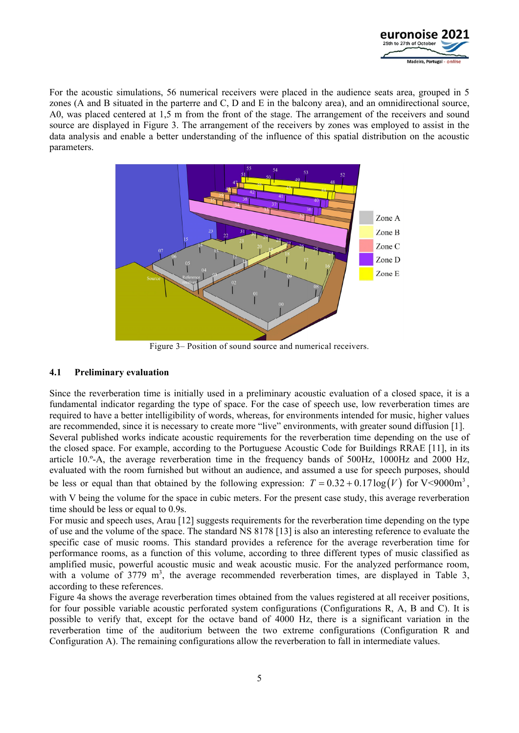

For the acoustic simulations, 56 numerical receivers were placed in the audience seats area, grouped in 5 zones (A and B situated in the parterre and C, D and E in the balcony area), and an omnidirectional source, A0, was placed centered at 1,5 m from the front of the stage. The arrangement of the receivers and sound source are displayed in Figure 3. The arrangement of the receivers by zones was employed to assist in the data analysis and enable a better understanding of the influence of this spatial distribution on the acoustic parameters.



Figure 3– Position of sound source and numerical receivers.

#### **4.1 Preliminary evaluation**

Since the reverberation time is initially used in a preliminary acoustic evaluation of a closed space, it is a fundamental indicator regarding the type of space. For the case of speech use, low reverberation times are required to have a better intelligibility of words, whereas, for environments intended for music, higher values are recommended, since it is necessary to create more "live" environments, with greater sound diffusion [1]. Several published works indicate acoustic requirements for the reverberation time depending on the use of the closed space. For example, according to the Portuguese Acoustic Code for Buildings RRAE [11], in its article 10.º-A, the average reverberation time in the frequency bands of 500Hz, 1000Hz and 2000 Hz, evaluated with the room furnished but without an audience, and assumed a use for speech purposes, should be less or equal than that obtained by the following expression:  $T = 0.32 + 0.17 \log(V)$  for V<9000m<sup>3</sup>.

with V being the volume for the space in cubic meters. For the present case study, this average reverberation time should be less or equal to 0.9s.

For music and speech uses, Arau [12] suggests requirements for the reverberation time depending on the type of use and the volume of the space. The standard NS 8178 [13] is also an interesting reference to evaluate the specific case of music rooms. This standard provides a reference for the average reverberation time for performance rooms, as a function of this volume, according to three different types of music classified as amplified music, powerful acoustic music and weak acoustic music. For the analyzed performance room, with a volume of 3779  $m^3$ , the average recommended reverberation times, are displayed in Table 3, according to these references.

Figure 4a shows the average reverberation times obtained from the values registered at all receiver positions, for four possible variable acoustic perforated system configurations (Configurations R, A, B and C). It is possible to verify that, except for the octave band of 4000 Hz, there is a significant variation in the reverberation time of the auditorium between the two extreme configurations (Configuration R and Configuration A). The remaining configurations allow the reverberation to fall in intermediate values.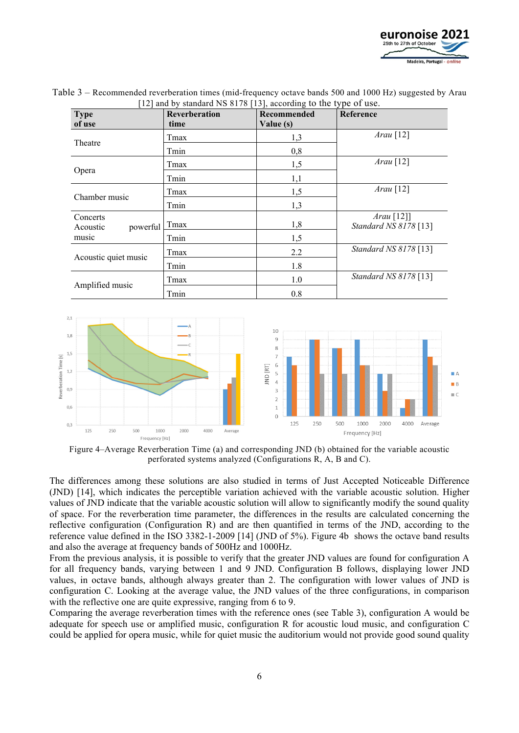

| <b>Type</b><br>of use            | Reverberation<br>time | Recommended<br>Value (s) | Reference                             |
|----------------------------------|-----------------------|--------------------------|---------------------------------------|
| Theatre                          | Tmax                  | 1,3                      | $Arau$ [12]                           |
|                                  | Tmin                  | 0,8                      |                                       |
|                                  | Tmax                  | 1,5                      | $Arau$ <sup>[12]</sup>                |
| Opera                            | Tmin                  | 1,1                      |                                       |
|                                  | Tmax                  | 1,5                      | $Arau$ [12]                           |
| Chamber music                    | Tmin                  | 1,3                      |                                       |
| Concerts<br>powerful<br>Acoustic | Tmax                  | 1,8                      | $Arau$ [12]]<br>Standard NS 8178 [13] |
| music                            | Tmin                  | 1,5                      |                                       |
|                                  | Tmax                  | 2.2                      | Standard NS 8178 [13]                 |
| Acoustic quiet music             | Tmin                  | 1.8                      |                                       |
| Amplified music                  | Tmax                  | 1.0                      | Standard NS 8178 [13]                 |
|                                  | Tmin                  | 0.8                      |                                       |

Table 3 – Recommended reverberation times (mid-frequency octave bands 500 and 1000 Hz) suggested by Arau [12] and by standard NS 8178 [13], according to the type of use.



Figure 4–Average Reverberation Time (a) and corresponding JND (b) obtained for the variable acoustic perforated systems analyzed (Configurations R, A, B and C).

The differences among these solutions are also studied in terms of Just Accepted Noticeable Difference (JND) [14], which indicates the perceptible variation achieved with the variable acoustic solution. Higher values of JND indicate that the variable acoustic solution will allow to significantly modify the sound quality of space. For the reverberation time parameter, the differences in the results are calculated concerning the reflective configuration (Configuration R) and are then quantified in terms of the JND, according to the reference value defined in the ISO 3382-1-2009 [14] (JND of 5%). Figure 4b shows the octave band results and also the average at frequency bands of 500Hz and 1000Hz.

From the previous analysis, it is possible to verify that the greater JND values are found for configuration A for all frequency bands, varying between 1 and 9 JND. Configuration B follows, displaying lower JND values, in octave bands, although always greater than 2. The configuration with lower values of JND is configuration C. Looking at the average value, the JND values of the three configurations, in comparison with the reflective one are quite expressive, ranging from 6 to 9.

Comparing the average reverberation times with the reference ones (see Table 3), configuration A would be adequate for speech use or amplified music, configuration R for acoustic loud music, and configuration C could be applied for opera music, while for quiet music the auditorium would not provide good sound quality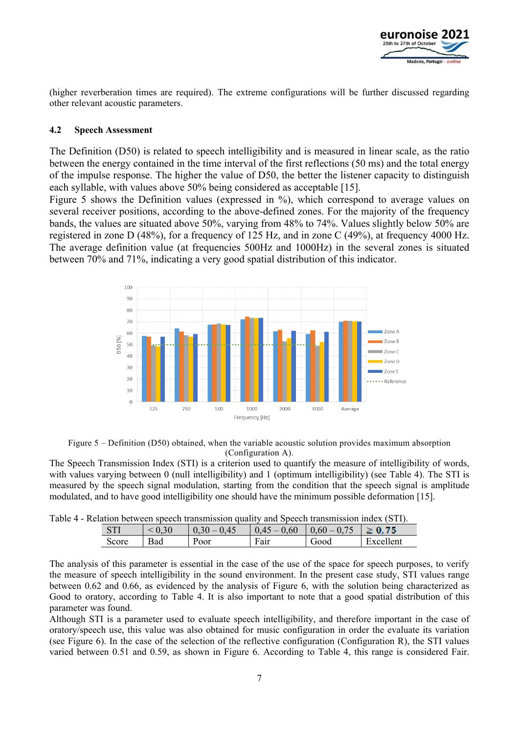

(higher reverberation times are required). The extreme configurations will be further discussed regarding other relevant acoustic parameters.

#### **4.2 Speech Assessment**

The Definition (D50) is related to speech intelligibility and is measured in linear scale, as the ratio between the energy contained in the time interval of the first reflections (50 ms) and the total energy of the impulse response. The higher the value of D50, the better the listener capacity to distinguish each syllable, with values above 50% being considered as acceptable [15].

Figure 5 shows the Definition values (expressed in %), which correspond to average values on several receiver positions, according to the above-defined zones. For the majority of the frequency bands, the values are situated above 50%, varying from 48% to 74%. Values slightly below 50% are registered in zone D (48%), for a frequency of 125 Hz, and in zone C (49%), at frequency 4000 Hz. The average definition value (at frequencies 500Hz and 1000Hz) in the several zones is situated between 70% and 71%, indicating a very good spatial distribution of this indicator.





The Speech Transmission Index (STI) is a criterion used to quantify the measure of intelligibility of words, with values varying between 0 (null intelligibility) and 1 (optimum intelligibility) (see Table 4). The STI is measured by the speech signal modulation, starting from the condition that the speech signal is amplitude modulated, and to have good intelligibility one should have the minimum possible deformation [15].

| Table 4 - Relation between speech transmission quality and Speech transmission index (STI). |  |  |  |  |
|---------------------------------------------------------------------------------------------|--|--|--|--|
|                                                                                             |  |  |  |  |

| <b>STI</b> |     | $30 - 0.45$<br>0.3 | $-0,60$<br>$\Delta$ 45 | $0.60 - 0.75$ | 75<br>> 1 |
|------------|-----|--------------------|------------------------|---------------|-----------|
| Score      | Bad | Poor               | Fair                   | boot          | Excellent |

The analysis of this parameter is essential in the case of the use of the space for speech purposes, to verify the measure of speech intelligibility in the sound environment. In the present case study, STI values range between 0.62 and 0.66, as evidenced by the analysis of Figure 6, with the solution being characterized as Good to oratory, according to Table 4. It is also important to note that a good spatial distribution of this parameter was found.

Although STI is a parameter used to evaluate speech intelligibility, and therefore important in the case of oratory/speech use, this value was also obtained for music configuration in order the evaluate its variation (see Figure 6). In the case of the selection of the reflective configuration (Configuration R), the STI values varied between 0.51 and 0.59, as shown in Figure 6. According to Table 4, this range is considered Fair.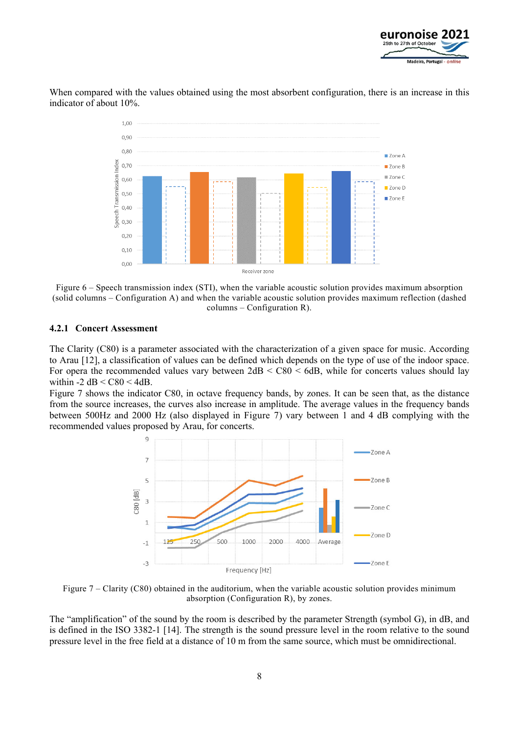

When compared with the values obtained using the most absorbent configuration, there is an increase in this indicator of about 10%.



Figure 6 – Speech transmission index (STI), when the variable acoustic solution provides maximum absorption (solid columns – Configuration A) and when the variable acoustic solution provides maximum reflection (dashed columns – Configuration R).

#### **4.2.1 Concert Assessment**

The Clarity (C80) is a parameter associated with the characterization of a given space for music. According to Arau [12], a classification of values can be defined which depends on the type of use of the indoor space. For opera the recommended values vary between  $2 dB < C80 < 6 dB$ , while for concerts values should lay within  $-2$  dB  $\leq$  C80  $\leq$  4dB.

Figure 7 shows the indicator C80, in octave frequency bands, by zones. It can be seen that, as the distance from the source increases, the curves also increase in amplitude. The average values in the frequency bands between 500Hz and 2000 Hz (also displayed in Figure 7) vary between 1 and 4 dB complying with the recommended values proposed by Arau, for concerts.



Figure 7 – Clarity (C80) obtained in the auditorium, when the variable acoustic solution provides minimum absorption (Configuration R), by zones.

The "amplification" of the sound by the room is described by the parameter Strength (symbol G), in dB, and is defined in the ISO 3382-1 [14]. The strength is the sound pressure level in the room relative to the sound pressure level in the free field at a distance of 10 m from the same source, which must be omnidirectional.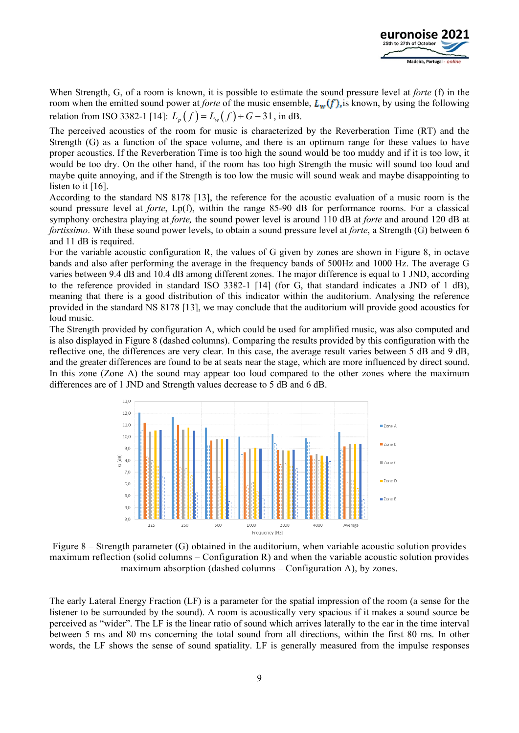

When Strength, G, of a room is known, it is possible to estimate the sound pressure level at *forte* (f) in the room when the emitted sound power at *forte* of the music ensemble,  $L_w(f)$ , is known, by using the following relation from ISO 3382-1 [14]:  $L_n(f) = L_w(f) + G - 31$ , in dB.

The perceived acoustics of the room for music is characterized by the Reverberation Time (RT) and the Strength (G) as a function of the space volume, and there is an optimum range for these values to have proper acoustics. If the Reverberation Time is too high the sound would be too muddy and if it is too low, it would be too dry. On the other hand, if the room has too high Strength the music will sound too loud and maybe quite annoying, and if the Strength is too low the music will sound weak and maybe disappointing to listen to it [16].

According to the standard NS 8178 [13], the reference for the acoustic evaluation of a music room is the sound pressure level at *forte*, Lp(f), within the range 85-90 dB for performance rooms. For a classical symphony orchestra playing at *forte,* the sound power level is around 110 dB at *forte* and around 120 dB at *fortissimo*. With these sound power levels, to obtain a sound pressure level at *forte*, a Strength (G) between 6 and 11 dB is required.

For the variable acoustic configuration R, the values of G given by zones are shown in Figure 8, in octave bands and also after performing the average in the frequency bands of 500Hz and 1000 Hz. The average G varies between 9.4 dB and 10.4 dB among different zones. The major difference is equal to 1 JND, according to the reference provided in standard ISO 3382-1 [14] (for G, that standard indicates a JND of 1 dB), meaning that there is a good distribution of this indicator within the auditorium. Analysing the reference provided in the standard NS 8178 [13], we may conclude that the auditorium will provide good acoustics for loud music.

The Strength provided by configuration A, which could be used for amplified music, was also computed and is also displayed in Figure 8 (dashed columns). Comparing the results provided by this configuration with the reflective one, the differences are very clear. In this case, the average result varies between 5 dB and 9 dB, and the greater differences are found to be at seats near the stage, which are more influenced by direct sound. In this zone (Zone A) the sound may appear too loud compared to the other zones where the maximum differences are of 1 JND and Strength values decrease to 5 dB and 6 dB.



Figure 8 – Strength parameter (G) obtained in the auditorium, when variable acoustic solution provides maximum reflection (solid columns – Configuration R) and when the variable acoustic solution provides maximum absorption (dashed columns – Configuration A), by zones.

The early Lateral Energy Fraction (LF) is a parameter for the spatial impression of the room (a sense for the listener to be surrounded by the sound). A room is acoustically very spacious if it makes a sound source be perceived as "wider". The LF is the linear ratio of sound which arrives laterally to the ear in the time interval between 5 ms and 80 ms concerning the total sound from all directions, within the first 80 ms. In other words, the LF shows the sense of sound spatiality. LF is generally measured from the impulse responses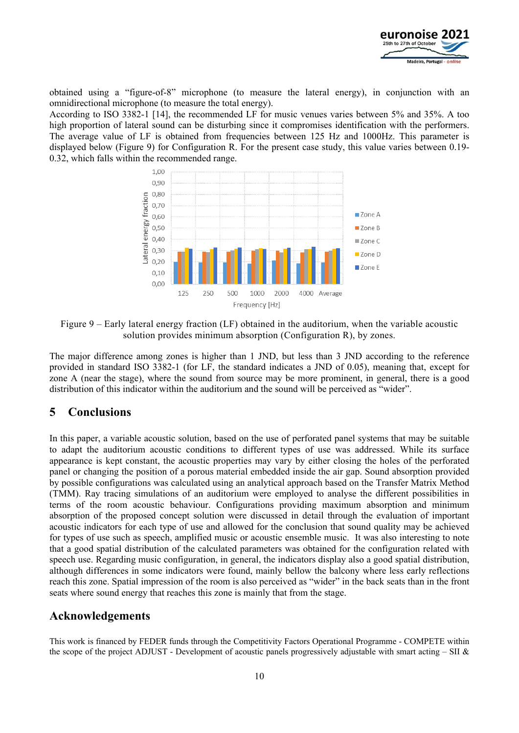

obtained using a "figure-of-8" microphone (to measure the lateral energy), in conjunction with an omnidirectional microphone (to measure the total energy).

According to ISO 3382-1 [14], the recommended LF for music venues varies between 5% and 35%. A too high proportion of lateral sound can be disturbing since it compromises identification with the performers. The average value of LF is obtained from frequencies between 125 Hz and 1000Hz. This parameter is displayed below (Figure 9) for Configuration R. For the present case study, this value varies between 0.19- 0.32, which falls within the recommended range.



Figure 9 – Early lateral energy fraction (LF) obtained in the auditorium, when the variable acoustic solution provides minimum absorption (Configuration R), by zones.

The major difference among zones is higher than 1 JND, but less than 3 JND according to the reference provided in standard ISO 3382-1 (for LF, the standard indicates a JND of 0.05), meaning that, except for zone A (near the stage), where the sound from source may be more prominent, in general, there is a good distribution of this indicator within the auditorium and the sound will be perceived as "wider".

# **5 Conclusions**

In this paper, a variable acoustic solution, based on the use of perforated panel systems that may be suitable to adapt the auditorium acoustic conditions to different types of use was addressed. While its surface appearance is kept constant, the acoustic properties may vary by either closing the holes of the perforated panel or changing the position of a porous material embedded inside the air gap. Sound absorption provided by possible configurations was calculated using an analytical approach based on the Transfer Matrix Method (TMM). Ray tracing simulations of an auditorium were employed to analyse the different possibilities in terms of the room acoustic behaviour. Configurations providing maximum absorption and minimum absorption of the proposed concept solution were discussed in detail through the evaluation of important acoustic indicators for each type of use and allowed for the conclusion that sound quality may be achieved for types of use such as speech, amplified music or acoustic ensemble music. It was also interesting to note that a good spatial distribution of the calculated parameters was obtained for the configuration related with speech use. Regarding music configuration, in general, the indicators display also a good spatial distribution, although differences in some indicators were found, mainly bellow the balcony where less early reflections reach this zone. Spatial impression of the room is also perceived as "wider" in the back seats than in the front seats where sound energy that reaches this zone is mainly that from the stage.

### **Acknowledgements**

This work is financed by FEDER funds through the Competitivity Factors Operational Programme - COMPETE within the scope of the project ADJUST - Development of acoustic panels progressively adjustable with smart acting  $-$  SII  $\&$